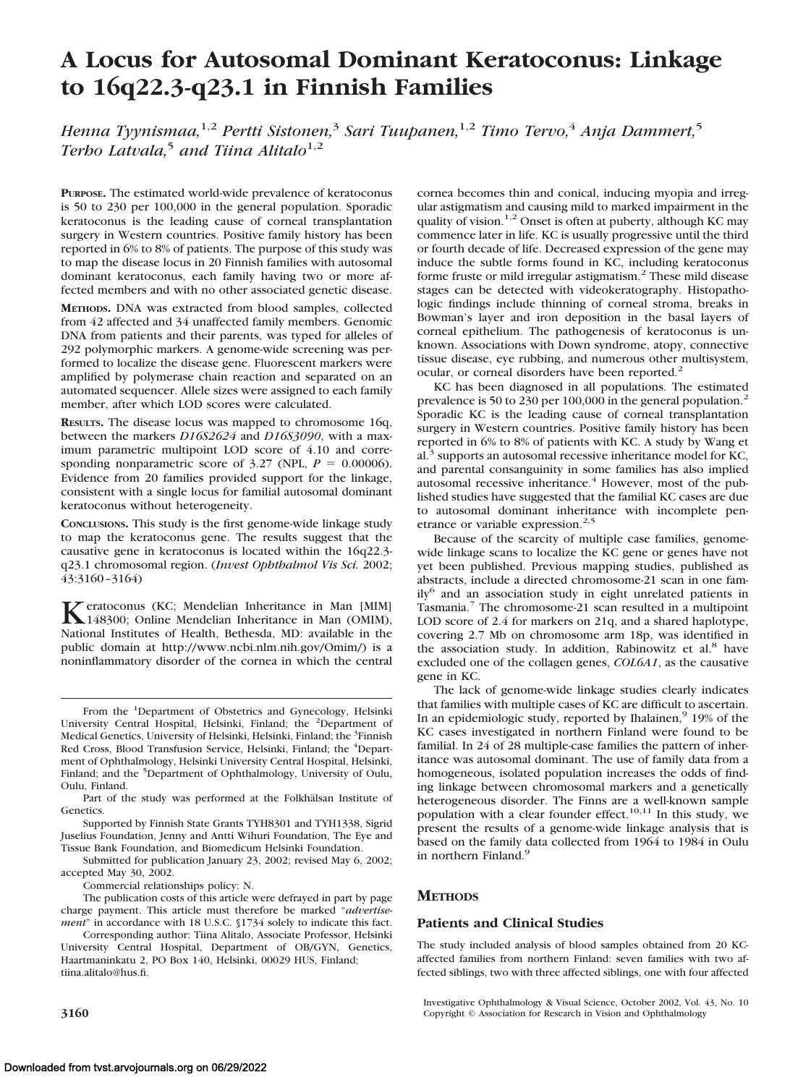# **A Locus for Autosomal Dominant Keratoconus: Linkage to 16q22.3-q23.1 in Finnish Families**

*Henna Tyynismaa,*1,2 *Pertti Sistonen,*<sup>3</sup> *Sari Tuupanen,*1,2 *Timo Tervo,*<sup>4</sup> *Anja Dammert,*<sup>5</sup> *Terho Latvala*,<sup>5</sup> *and Tiina Alitalo*<sup>1,2</sup>

**PURPOSE.** The estimated world-wide prevalence of keratoconus is 50 to 230 per 100,000 in the general population. Sporadic keratoconus is the leading cause of corneal transplantation surgery in Western countries. Positive family history has been reported in 6% to 8% of patients. The purpose of this study was to map the disease locus in 20 Finnish families with autosomal dominant keratoconus, each family having two or more affected members and with no other associated genetic disease.

**METHODS.** DNA was extracted from blood samples, collected from 42 affected and 34 unaffected family members. Genomic DNA from patients and their parents, was typed for alleles of 292 polymorphic markers. A genome-wide screening was performed to localize the disease gene. Fluorescent markers were amplified by polymerase chain reaction and separated on an automated sequencer. Allele sizes were assigned to each family member, after which LOD scores were calculated.

**RESULTS.** The disease locus was mapped to chromosome 16q, between the markers *D16S2624* and *D16S3090*, with a maximum parametric multipoint LOD score of 4.10 and corresponding nonparametric score of 3.27 (NPL,  $P = 0.00006$ ). Evidence from 20 families provided support for the linkage, consistent with a single locus for familial autosomal dominant keratoconus without heterogeneity.

**CONCLUSIONS.** This study is the first genome-wide linkage study to map the keratoconus gene. The results suggest that the causative gene in keratoconus is located within the 16q22.3 q23.1 chromosomal region. (*Invest Ophthalmol Vis Sci.* 2002; 43:3160–3164)

**K**eratoconus (KC; Mendelian Inheritance in Man [MIM]<br>148300; Online Mendelian Inheritance in Man (OMIM),<br>Netingel Legitimize of Haelth Rethards, MD, smith later in the National Institutes of Health, Bethesda, MD: available in the public domain at http://www.ncbi.nlm.nih.gov/Omim/) is a noninflammatory disorder of the cornea in which the central

Part of the study was performed at the Folkhälsan Institute of Genetics.

Supported by Finnish State Grants TYH8301 and TYH1338, Sigrid Juselius Foundation, Jenny and Antti Wihuri Foundation, The Eye and Tissue Bank Foundation, and Biomedicum Helsinki Foundation.

Submitted for publication January 23, 2002; revised May 6, 2002; accepted May 30, 2002.

Commercial relationships policy: N.

The publication costs of this article were defrayed in part by page charge payment. This article must therefore be marked "*advertisement*" in accordance with 18 U.S.C. §1734 solely to indicate this fact.

Corresponding author: Tiina Alitalo, Associate Professor, Helsinki University Central Hospital, Department of OB/GYN, Genetics, Haartmaninkatu 2, PO Box 140, Helsinki, 00029 HUS, Finland; tiina.alitalo@hus.fi.

cornea becomes thin and conical, inducing myopia and irregular astigmatism and causing mild to marked impairment in the quality of vision.1,2 Onset is often at puberty, although KC may commence later in life. KC is usually progressive until the third or fourth decade of life. Decreased expression of the gene may induce the subtle forms found in KC, including keratoconus forme fruste or mild irregular astigmatism.<sup>2</sup> These mild disease stages can be detected with videokeratography. Histopathologic findings include thinning of corneal stroma, breaks in Bowman's layer and iron deposition in the basal layers of corneal epithelium. The pathogenesis of keratoconus is unknown. Associations with Down syndrome, atopy, connective tissue disease, eye rubbing, and numerous other multisystem, ocular, or corneal disorders have been reported.<sup>2</sup>

KC has been diagnosed in all populations. The estimated prevalence is 50 to 230 per 100,000 in the general population.<sup>2</sup> Sporadic KC is the leading cause of corneal transplantation surgery in Western countries. Positive family history has been reported in 6% to 8% of patients with KC. A study by Wang et al.<sup>3</sup> supports an autosomal recessive inheritance model for KC, and parental consanguinity in some families has also implied autosomal recessive inheritance.<sup>4</sup> However, most of the published studies have suggested that the familial KC cases are due to autosomal dominant inheritance with incomplete penetrance or variable expression.<sup>2,5</sup>

Because of the scarcity of multiple case families, genomewide linkage scans to localize the KC gene or genes have not yet been published. Previous mapping studies, published as abstracts, include a directed chromosome-21 scan in one fam $ily<sup>6</sup>$  and an association study in eight unrelated patients in Tasmania.7 The chromosome-21 scan resulted in a multipoint LOD score of 2.4 for markers on 21q, and a shared haplotype, covering 2.7 Mb on chromosome arm 18p, was identified in the association study. In addition, Rabinowitz et al.<sup>8</sup> have excluded one of the collagen genes, *COL6A1*, as the causative gene in KC.

The lack of genome-wide linkage studies clearly indicates that families with multiple cases of KC are difficult to ascertain. In an epidemiologic study, reported by Ihalainen,<sup>9</sup> 19% of the KC cases investigated in northern Finland were found to be familial. In 24 of 28 multiple-case families the pattern of inheritance was autosomal dominant. The use of family data from a homogeneous, isolated population increases the odds of finding linkage between chromosomal markers and a genetically heterogeneous disorder. The Finns are a well-known sample population with a clear founder effect.<sup>10,11</sup> In this study, we present the results of a genome-wide linkage analysis that is based on the family data collected from 1964 to 1984 in Oulu in northern Finland.<sup>9</sup>

# **METHODS**

#### **Patients and Clinical Studies**

The study included analysis of blood samples obtained from 20 KCaffected families from northern Finland: seven families with two affected siblings, two with three affected siblings, one with four affected

From the <sup>1</sup>Department of Obstetrics and Gynecology, Helsinki University Central Hospital, Helsinki, Finland; the <sup>2</sup>Department of Medical Genetics, University of Helsinki, Helsinki, Finland; the <sup>3</sup>Finnish Red Cross, Blood Transfusion Service, Helsinki, Finland; the <sup>4</sup>Department of Ophthalmology, Helsinki University Central Hospital, Helsinki, Finland; and the <sup>5</sup>Department of Ophthalmology, University of Oulu, Oulu, Finland.

Investigative Ophthalmology & Visual Science, October 2002, Vol. 43, No. 10 **3160** Copyright © Association for Research in Vision and Ophthalmology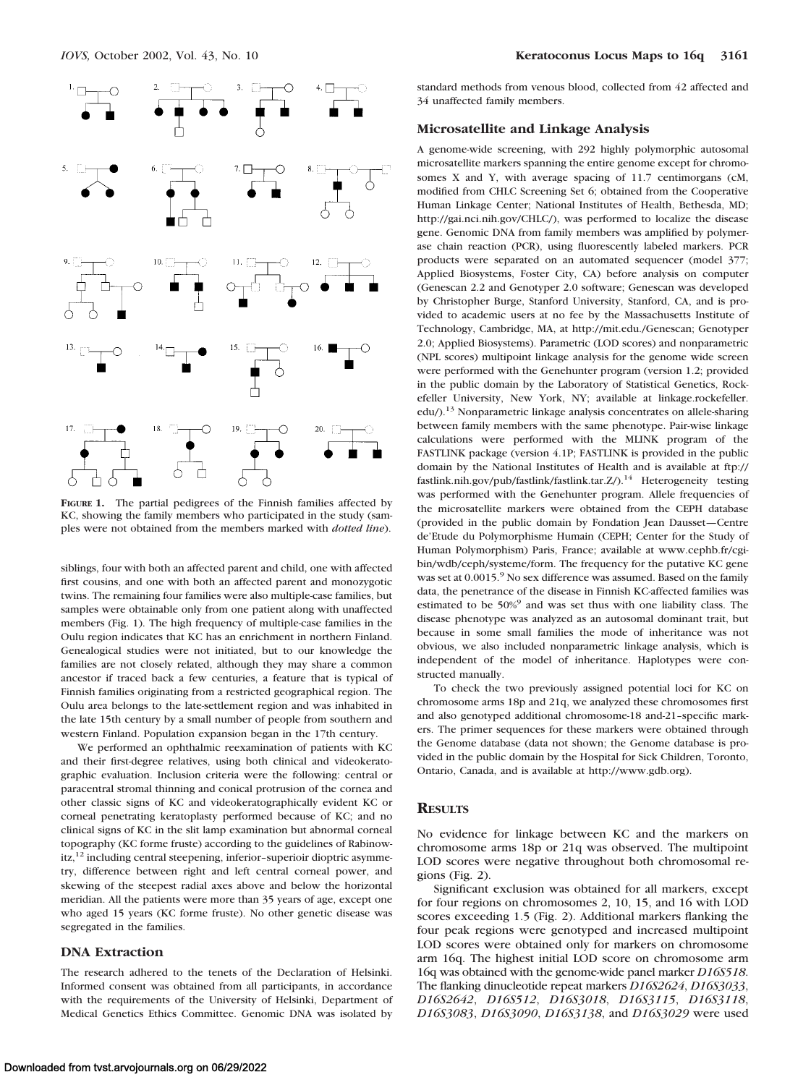

**FIGURE 1.** The partial pedigrees of the Finnish families affected by KC, showing the family members who participated in the study (samples were not obtained from the members marked with *dotted line*).

siblings, four with both an affected parent and child, one with affected first cousins, and one with both an affected parent and monozygotic twins. The remaining four families were also multiple-case families, but samples were obtainable only from one patient along with unaffected members (Fig. 1). The high frequency of multiple-case families in the Oulu region indicates that KC has an enrichment in northern Finland. Genealogical studies were not initiated, but to our knowledge the families are not closely related, although they may share a common ancestor if traced back a few centuries, a feature that is typical of Finnish families originating from a restricted geographical region. The Oulu area belongs to the late-settlement region and was inhabited in the late 15th century by a small number of people from southern and western Finland. Population expansion began in the 17th century.

We performed an ophthalmic reexamination of patients with KC and their first-degree relatives, using both clinical and videokeratographic evaluation. Inclusion criteria were the following: central or paracentral stromal thinning and conical protrusion of the cornea and other classic signs of KC and videokeratographically evident KC or corneal penetrating keratoplasty performed because of KC; and no clinical signs of KC in the slit lamp examination but abnormal corneal topography (KC forme fruste) according to the guidelines of Rabinow $itz<sub>1</sub><sup>12</sup>$  including central steepening, inferior–superioir dioptric asymmetry, difference between right and left central corneal power, and skewing of the steepest radial axes above and below the horizontal meridian. All the patients were more than 35 years of age, except one who aged 15 years (KC forme fruste). No other genetic disease was segregated in the families.

#### **DNA Extraction**

The research adhered to the tenets of the Declaration of Helsinki. Informed consent was obtained from all participants, in accordance with the requirements of the University of Helsinki, Department of Medical Genetics Ethics Committee. Genomic DNA was isolated by

standard methods from venous blood, collected from 42 affected and 34 unaffected family members.

#### **Microsatellite and Linkage Analysis**

A genome-wide screening, with 292 highly polymorphic autosomal microsatellite markers spanning the entire genome except for chromosomes X and Y, with average spacing of 11.7 centimorgans (cM, modified from CHLC Screening Set 6; obtained from the Cooperative Human Linkage Center; National Institutes of Health, Bethesda, MD; http://gai.nci.nih.gov/CHLC/), was performed to localize the disease gene. Genomic DNA from family members was amplified by polymerase chain reaction (PCR), using fluorescently labeled markers. PCR products were separated on an automated sequencer (model 377; Applied Biosystems, Foster City, CA) before analysis on computer (Genescan 2.2 and Genotyper 2.0 software; Genescan was developed by Christopher Burge, Stanford University, Stanford, CA, and is provided to academic users at no fee by the Massachusetts Institute of Technology, Cambridge, MA, at http://mit.edu./Genescan; Genotyper 2.0; Applied Biosystems). Parametric (LOD scores) and nonparametric (NPL scores) multipoint linkage analysis for the genome wide screen were performed with the Genehunter program (version 1.2; provided in the public domain by the Laboratory of Statistical Genetics, Rockefeller University, New York, NY; available at linkage.rockefeller. edu/).<sup>13</sup> Nonparametric linkage analysis concentrates on allele-sharing between family members with the same phenotype. Pair-wise linkage calculations were performed with the MLINK program of the FASTLINK package (version 4.1P; FASTLINK is provided in the public domain by the National Institutes of Health and is available at ftp:// fastlink.nih.gov/pub/fastlink/fastlink.tar.Z/).<sup>14</sup> Heterogeneity testing was performed with the Genehunter program. Allele frequencies of the microsatellite markers were obtained from the CEPH database (provided in the public domain by Fondation Jean Dausset—Centre de'Etude du Polymorphisme Humain (CEPH; Center for the Study of Human Polymorphism) Paris, France; available at www.cephb.fr/cgibin/wdb/ceph/systeme/form. The frequency for the putative KC gene was set at 0.0015.<sup>9</sup> No sex difference was assumed. Based on the family data, the penetrance of the disease in Finnish KC-affected families was estimated to be 50%<sup>9</sup> and was set thus with one liability class. The disease phenotype was analyzed as an autosomal dominant trait, but because in some small families the mode of inheritance was not obvious, we also included nonparametric linkage analysis, which is independent of the model of inheritance. Haplotypes were constructed manually.

To check the two previously assigned potential loci for KC on chromosome arms 18p and 21q, we analyzed these chromosomes first and also genotyped additional chromosome-18 and-21–specific markers. The primer sequences for these markers were obtained through the Genome database (data not shown; the Genome database is provided in the public domain by the Hospital for Sick Children, Toronto, Ontario, Canada, and is available at http://www.gdb.org).

#### **RESULTS**

No evidence for linkage between KC and the markers on chromosome arms 18p or 21q was observed. The multipoint LOD scores were negative throughout both chromosomal regions (Fig. 2).

Significant exclusion was obtained for all markers, except for four regions on chromosomes 2, 10, 15, and 16 with LOD scores exceeding 1.5 (Fig. 2). Additional markers flanking the four peak regions were genotyped and increased multipoint LOD scores were obtained only for markers on chromosome arm 16q. The highest initial LOD score on chromosome arm 16q was obtained with the genome-wide panel marker *D16S518*. The flanking dinucleotide repeat markers *D16S2624*, *D16S3033*, *D16S2642*, *D16S512*, *D16S3018*, *D16S3115*, *D16S3118*, *D16S3083*, *D16S3090*, *D16S3138*, and *D16S3029* were used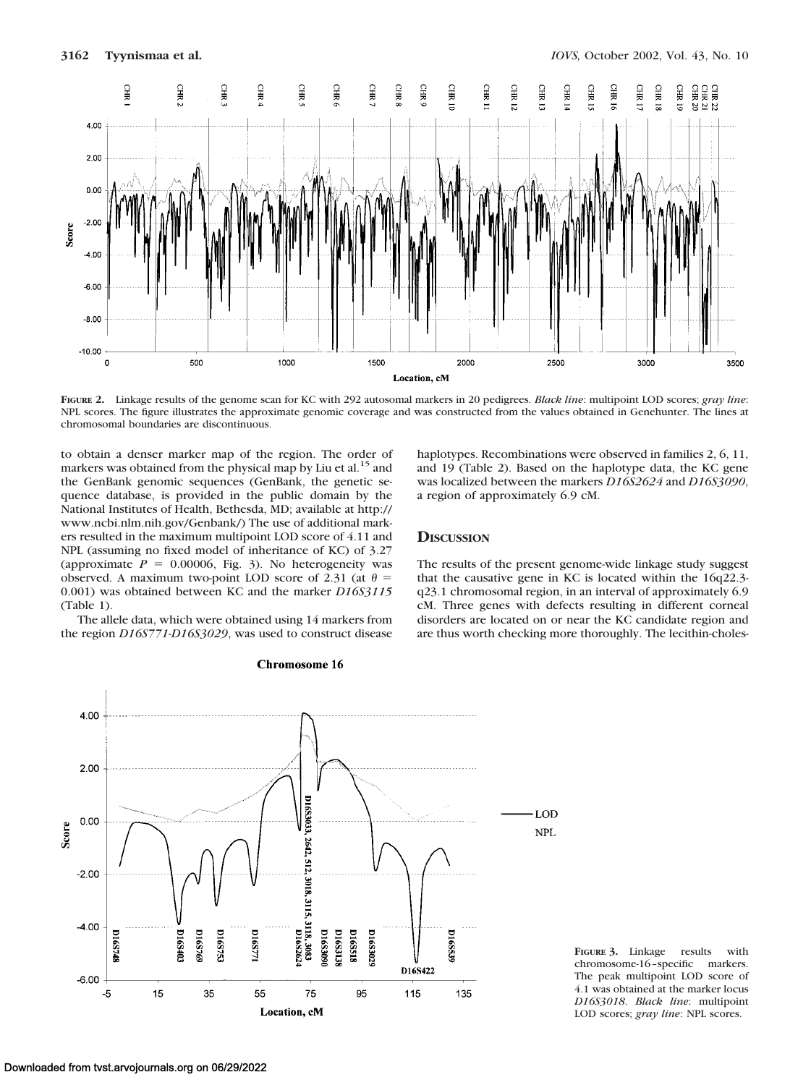

**FIGURE 2.** Linkage results of the genome scan for KC with 292 autosomal markers in 20 pedigrees. *Black line*: multipoint LOD scores; *gray line*: NPL scores. The figure illustrates the approximate genomic coverage and was constructed from the values obtained in Genehunter. The lines at chromosomal boundaries are discontinuous.

to obtain a denser marker map of the region. The order of markers was obtained from the physical map by Liu et al.<sup>15</sup> and the GenBank genomic sequences (GenBank, the genetic sequence database, is provided in the public domain by the National Institutes of Health, Bethesda, MD; available at http:// www.ncbi.nlm.nih.gov/Genbank/) The use of additional markers resulted in the maximum multipoint LOD score of 4.11 and NPL (assuming no fixed model of inheritance of KC) of 3.27 (approximate  $P = 0.00006$ , Fig. 3). No heterogeneity was observed. A maximum two-point LOD score of 2.31 (at  $\theta$  = 0.001) was obtained between KC and the marker *D16S3115* (Table 1).

The allele data, which were obtained using 14 markers from the region *D16S771*-*D16S3029*, was used to construct disease



# Chromosome 16

haplotypes. Recombinations were observed in families 2, 6, 11, and 19 (Table 2). Based on the haplotype data, the KC gene was localized between the markers *D16S2624* and *D16S3090*, a region of approximately 6.9 cM.

## **DISCUSSION**

The results of the present genome-wide linkage study suggest that the causative gene in KC is located within the 16q22.3 q23.1 chromosomal region, in an interval of approximately 6.9 cM. Three genes with defects resulting in different corneal disorders are located on or near the KC candidate region and are thus worth checking more thoroughly. The lecithin-choles-

**FIGURE 3.** Linkage results with chromosome-16–specific markers. The peak multipoint LOD score of 4.1 was obtained at the marker locus *D16S3018*. *Black line*: multipoint LOD scores; *gray line*: NPL scores.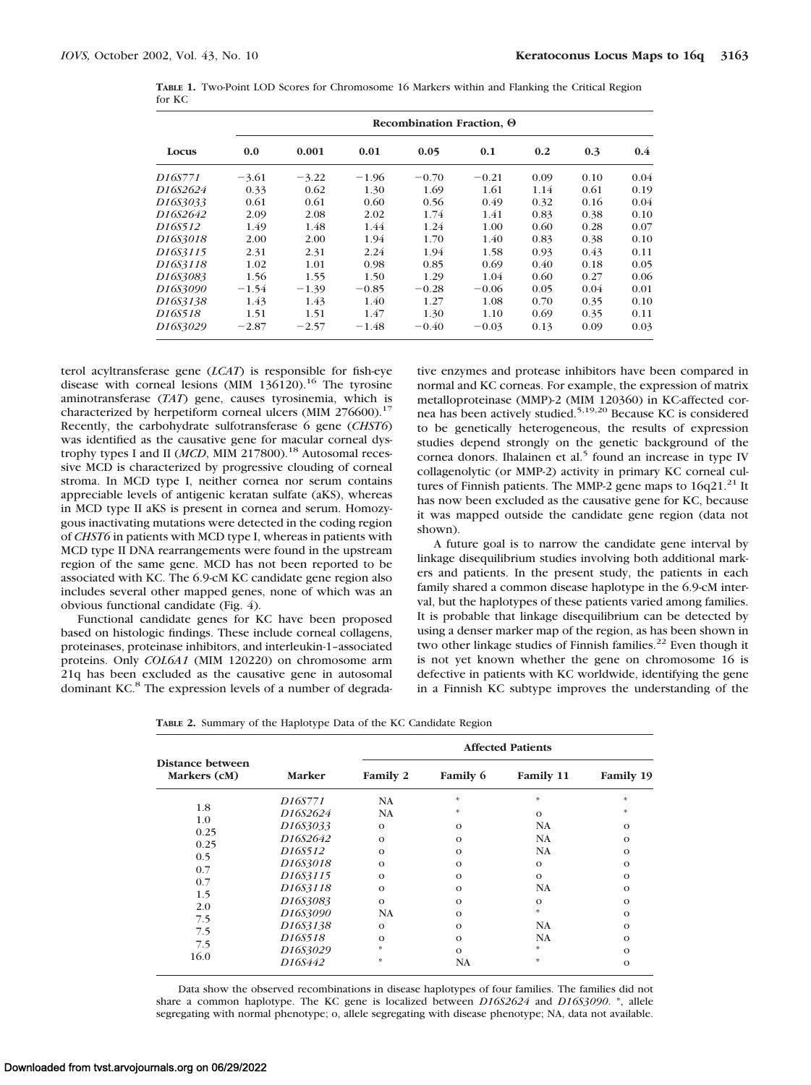| Locus                 | Recombination Fraction, 0 |         |         |         |         |      |      |      |  |
|-----------------------|---------------------------|---------|---------|---------|---------|------|------|------|--|
|                       | 0.0                       | 0.001   | 0.01    | 0.05    | 0.1     | 0.2  | 0.3  | 0.4  |  |
| D <sub>16</sub> S771  | $-3.61$                   | $-3.22$ | $-1.96$ | $-0.70$ | $-0.21$ | 0.09 | 0.10 | 0.04 |  |
| D16S2624              | 0.33                      | 0.62    | 1.30    | 1.69    | 1.61    | 1.14 | 0.61 | 0.19 |  |
| D <sub>16S</sub> 3033 | 0.61                      | 0.61    | 0.60    | 0.56    | 0.49    | 0.32 | 0.16 | 0.04 |  |
| D16S2642              | 2.09                      | 2.08    | 2.02    | 1.74    | 1.41    | 0.83 | 0.38 | 0.10 |  |
| D <sub>16</sub> S512  | 1.49                      | 1.48    | 1.44    | 1.24    | 1.00    | 0.60 | 0.28 | 0.07 |  |
| D16S3018              | 2.00                      | 2.00    | 1.94    | 1.70    | 1.40    | 0.83 | 0.38 | 0.10 |  |
| D16S3115              | 2.31                      | 2.31    | 2.24    | 1.94    | 1.58    | 0.93 | 0.43 | 0.11 |  |
| D16S3118              | 1.02                      | 1.01    | 0.98    | 0.85    | 0.69    | 0.40 | 0.18 | 0.05 |  |
| D16S3083              | 1.56                      | 1.55    | 1.50    | 1.29    | 1.04    | 0.60 | 0.27 | 0.06 |  |
| D16S3090              | $-1.54$                   | $-1.39$ | $-0.85$ | $-0.28$ | $-0.06$ | 0.05 | 0.04 | 0.01 |  |
| D16S3138              | 1.43                      | 1.43    | 1.40    | 1.27    | 1.08    | 0.70 | 0.35 | 0.10 |  |
| D16S518               | 1.51                      | 1.51    | 1.47    | 1.30    | 1.10    | 0.69 | 0.35 | 0.11 |  |
| D16S3029              | $-2.87$                   | $-2.57$ | $-1.48$ | $-0.40$ | $-0.03$ | 0.13 | 0.09 | 0.03 |  |

**TABLE 1.** Two-Point LOD Scores for Chromosome 16 Markers within and Flanking the Critical Region for KC

terol acyltransferase gene (*LCAT*) is responsible for fish-eye disease with corneal lesions (MIM  $136120$ ).<sup>16</sup> The tyrosine aminotransferase (*TAT*) gene, causes tyrosinemia, which is characterized by herpetiform corneal ulcers (MIM  $276600$ ).<sup>17</sup> Recently, the carbohydrate sulfotransferase 6 gene (*CHST6*) was identified as the causative gene for macular corneal dystrophy types I and II (*MCD*, MIM 217800).<sup>18</sup> Autosomal recessive MCD is characterized by progressive clouding of corneal stroma. In MCD type I, neither cornea nor serum contains appreciable levels of antigenic keratan sulfate (aKS), whereas in MCD type II aKS is present in cornea and serum. Homozygous inactivating mutations were detected in the coding region of *CHST6* in patients with MCD type I, whereas in patients with MCD type II DNA rearrangements were found in the upstream region of the same gene. MCD has not been reported to be associated with KC. The 6.9-cM KC candidate gene region also includes several other mapped genes, none of which was an obvious functional candidate (Fig. 4).

Functional candidate genes for KC have been proposed based on histologic findings. These include corneal collagens, proteinases, proteinase inhibitors, and interleukin-1–associated proteins. Only *COL6A1* (MIM 120220) on chromosome arm 21q has been excluded as the causative gene in autosomal dominant KC.<sup>8</sup> The expression levels of a number of degradative enzymes and protease inhibitors have been compared in normal and KC corneas. For example, the expression of matrix metalloproteinase (MMP)-2 (MIM 120360) in KC-affected cornea has been actively studied.5,19,20 Because KC is considered to be genetically heterogeneous, the results of expression studies depend strongly on the genetic background of the cornea donors. Ihalainen et al.<sup>5</sup> found an increase in type IV collagenolytic (or MMP-2) activity in primary KC corneal cultures of Finnish patients. The MMP-2 gene maps to  $16q21<sup>21</sup>$  It has now been excluded as the causative gene for KC, because it was mapped outside the candidate gene region (data not shown).

A future goal is to narrow the candidate gene interval by linkage disequilibrium studies involving both additional markers and patients. In the present study, the patients in each family shared a common disease haplotype in the 6.9-cM interval, but the haplotypes of these patients varied among families. It is probable that linkage disequilibrium can be detected by using a denser marker map of the region, as has been shown in two other linkage studies of Finnish families.<sup>22</sup> Even though it is not yet known whether the gene on chromosome 16 is defective in patients with KC worldwide, identifying the gene in a Finnish KC subtype improves the understanding of the

|  |  |  | TABLE 2. Summary of the Haplotype Data of the KC Candidate Region |  |  |  |  |  |
|--|--|--|-------------------------------------------------------------------|--|--|--|--|--|
|--|--|--|-------------------------------------------------------------------|--|--|--|--|--|

|                                  |                      | <b>Affected Patients</b> |           |           |           |  |  |  |  |
|----------------------------------|----------------------|--------------------------|-----------|-----------|-----------|--|--|--|--|
| Distance between<br>Markers (cM) | Marker               | Family 2                 | Family 6  | Family 11 | Family 19 |  |  |  |  |
|                                  | D <sub>16</sub> S771 | NA                       | 永         | 永         | *         |  |  |  |  |
| 1.8                              | D16S2624             | <b>NA</b>                | 永         | $\Omega$  | *         |  |  |  |  |
| 1.0                              | D16S3033             | $\Omega$                 | $\Omega$  | <b>NA</b> | $\Omega$  |  |  |  |  |
| 0.25                             | D16S2642             | $\Omega$                 | $\Omega$  | <b>NA</b> | $\Omega$  |  |  |  |  |
| 0.25                             | D16S512              | $\Omega$                 | $\Omega$  | <b>NA</b> | $\Omega$  |  |  |  |  |
| 0.5                              | D16S3018             | $\Omega$                 | $\Omega$  | $\Omega$  | $\Omega$  |  |  |  |  |
| 0.7                              | D16S3115             | $\Omega$                 | $\Omega$  | $\Omega$  | $\Omega$  |  |  |  |  |
| 0.7                              | D16S3118             | $\Omega$                 | $\Omega$  | <b>NA</b> | $\Omega$  |  |  |  |  |
| 1.5                              | D16S3083             | $\Omega$                 | $\Omega$  | $\Omega$  | $\Omega$  |  |  |  |  |
| 2.0                              | D16S3090             | <b>NA</b>                | $\Omega$  | 永         | $\Omega$  |  |  |  |  |
| 7.5                              | D16S3138             | $\Omega$                 | $\Omega$  | <b>NA</b> | $\Omega$  |  |  |  |  |
| 7.5                              | D16S518              | $\Omega$                 | $\Omega$  | <b>NA</b> | $\Omega$  |  |  |  |  |
| 7.5                              | D16S3029             |                          | $\Omega$  | 永         | $\Omega$  |  |  |  |  |
| 16.0                             | D16S442              | 永                        | <b>NA</b> | 永         | $\Omega$  |  |  |  |  |

Data show the observed recombinations in disease haplotypes of four families. The families did not share a common haplotype. The KC gene is localized between *D16S2624* and *D16S3090*. \*, allele segregating with normal phenotype; o, allele segregating with disease phenotype; NA, data not available.